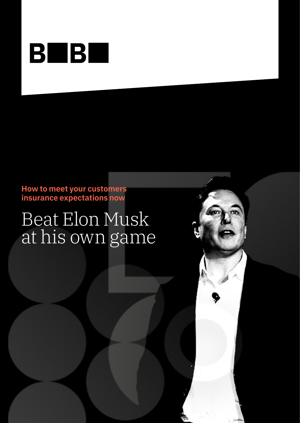

**How to meet your customers insurance expectations now**

# Beat Elon Musk at his own game

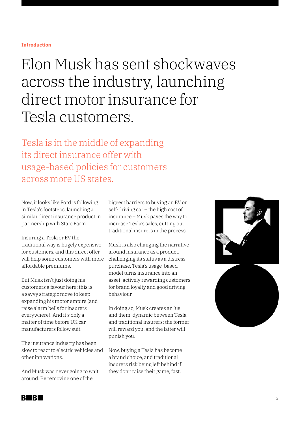#### **Introduction**

## Elon Musk has sent shockwaves across the industry, launching direct motor insurance for Tesla customers.

Tesla is in the middle of expanding its direct insurance offer with usage-based policies for customers across more US states.

Now, it looks like Ford is following in Tesla's footsteps, launching a similar direct insurance product in partnership with State Farm.

Insuring a Tesla or EV the traditional way is hugely expensive for customers, and this direct offer will help some customers with more affordable premiums.

But Musk isn't just doing his customers a favour here; this is a savvy strategic move to keep expanding his motor empire (and raise alarm bells for insurers everywhere). And it's only a matter of time before UK car manufacturers follow suit.

The insurance industry has been slow to react to electric vehicles and other innovations.

And Musk was never going to wait around. By removing one of the

biggest barriers to buying an EV or self-driving car – the high cost of insurance – Musk paves the way to increase Tesla's sales, cutting out traditional insurers in the process.

Musk is also changing the narrative around insurance as a product, challenging its status as a distress purchase. Tesla's usage-based model turns insurance into an asset, actively rewarding customers for brand loyalty and good driving behaviour.

In doing so, Musk creates an 'us and them' dynamic between Tesla and traditional insurers; the former will reward you, and the latter will punish you.

Now, buying a Tesla has become a brand choice, and traditional insurers risk being left behind if they don't raise their game, fast.



BI BI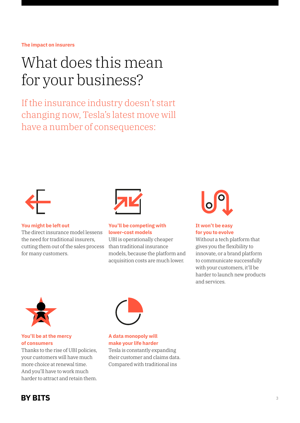#### **The impact on insurers**

# What does this mean for your business?

If the insurance industry doesn't start changing now, Tesla's latest move will have a number of consequences:



**You might be left out** 

The direct insurance model lessens the need for traditional insurers, cutting them out of the sales process for many customers.



#### **You'll be competing with lower-cost models**

UBI is operationally cheaper than traditional insurance models, because the platform and acquisition costs are much lower.



#### **It won't be easy for you to evolve**

Without a tech platform that gives you the flexibility to innovate, or a brand platform to communicate successfully with your customers, it'll be harder to launch new products and services.



#### **You'll be at the mercy of consumers**

Thanks to the rise of UBI policies, your customers will have much more choice at renewal time. And you'll have to work much harder to attract and retain them.



#### **A data monopoly will make your life harder** Tesla is constantly expanding

their customer and claims data. Compared with traditional ins

### **BY BITS**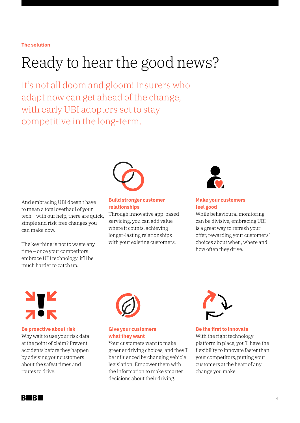#### **The solution**

# Ready to hear the good news?

It's not all doom and gloom! Insurers who adapt now can get ahead of the change, with early UBI adopters set to stay competitive in the long-term.



And embracing UBI doesn't have to mean a total overhaul of your tech – with our help, there are quick, simple and risk-free changes you can make now.

The key thing is not to waste any time – once your competitors embrace UBI technology, it'll be much harder to catch up.



Through innovative app-based servicing, you can add value where it counts, achieving longer-lasting relationships with your existing customers.



#### **Make your customers feel good**

While behavioural monitoring can be divisive, embracing UBI is a great way to refresh your offer, rewarding your customers' choices about when, where and how often they drive.

#### **Be proactive about risk**

Why wait to use your risk data at the point of claim? Prevent accidents before they happen by advising your customers about the safest times and routes to drive.



#### **Give your customers what they want**

Your customers want to make greener driving choices, and they'll be influenced by changing vehicle legislation. Empower them with the information to make smarter decisions about their driving.



**Be the first to innovate** With the right technology platform in place, you'll have the flexibility to innovate faster than your competitors, putting your customers at the heart of any change you make.

**BUBL**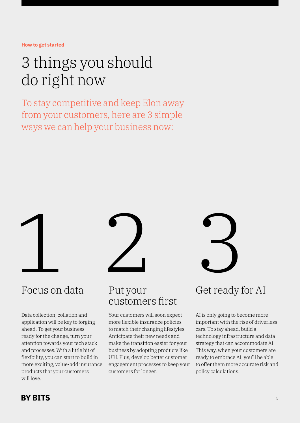**How to get started**

# 3 things you should do right now

To stay competitive and keep Elon away from your customers, here are 3 simple ways we can help your business now:



### Focus on data

Data collection, collation and application will be key to forging ahead. To get your business ready for the change, turn your attention towards your tech stack and processes. With a little bit of flexibility, you can start to build in more exciting, value-add insurance products that your customers will love.



### Put your customers first

Your customers will soon expect more flexible insurance policies to match their changing lifestyles. Anticipate their new needs and make the transition easier for your business by adopting products like UBI. Plus, develop better customer engagement processes to keep your customers for longer.



### Get ready for AI

AI is only going to become more important with the rise of driverless cars. To stay ahead, build a technology infrastructure and data strategy that can accommodate AI. This way, when your customers are ready to embrace AI, you'll be able to offer them more accurate risk and policy calculations.

### **BY BITS**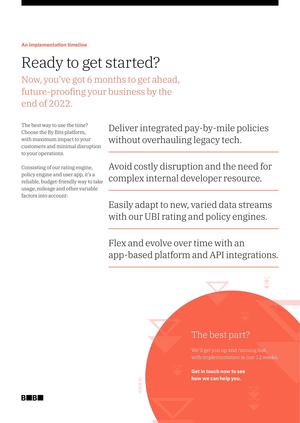**An implementation timeline**

## Ready to get started?

Now, you've got 6 months to get ahead, future-proofing your business by the end of 2022.

The best way to use the time? Choose the By Bits platform, with maximum impact to your customers and minimal disruption to your operations.

Consisting of our rating engine, policy engine and user app, it's a reliable, budget-friendly way to take usage, mileage and other variable factors into account:

Deliver integrated pay-by-mile policies without overhauling legacy tech.

Avoid costly disruption and the need for complex internal developer resource.

Easily adapt to new, varied data streams with our UBI rating and policy engines.

Flex and evolve over time with an app-based platform and API integrations.

### The best part?

We'll get you up and running fast, with implementation in just 12 weeks.

**Get in touch now to see how we can help you.**